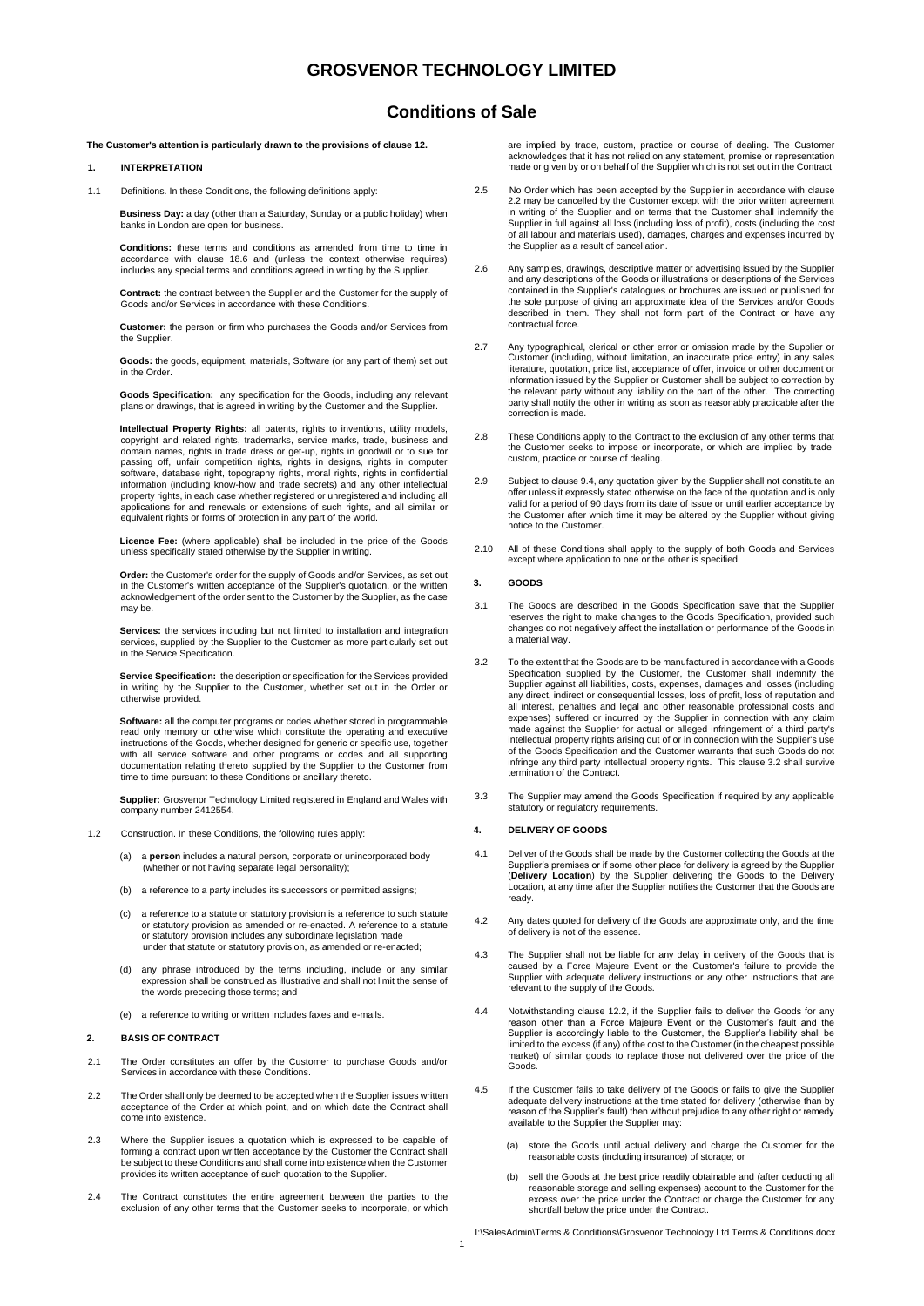## **Conditions of Sale**

**The Customer's attention is particularly drawn to the provisions of clause 12.** 

### **1. INTERPRETATION**

1.1 Definitions. In these Conditions, the following definitions apply:

**Business Day:** a day (other than a Saturday, Sunday or a public holiday) when banks in London are open for business.

**Conditions:** these terms and conditions as amended from time to time in accordance with clause 18.6 and (unless the context otherwise requires) includes any special terms and conditions agreed in writing by the Supplier.

**Contract:** the contract between the Supplier and the Customer for the supply of Goods and/or Services in accordance with these Conditions.

**Customer:** the person or firm who purchases the Goods and/or Services from the Supplier.

 **Goods:** the goods, equipment, materials, Software (or any part of them) set out in the Order.

**Goods Specification:** any specification for the Goods, including any relevant plans or drawings, that is agreed in writing by the Customer and the Supplier.

**Intellectual Property Rights:** all patents, rights to inventions, utility models, copyright and related rights, trademarks, service marks, trade, business and domain names, rights in trade dress or get-up, rights in goodwill or to sue for passing off, unfair competition rights, rights in designs, rights in computer software, database right, topography rights, moral rights, rights in confidential information (including know-how and trade secrets) and any other intellectual property rights, in each case whether registered or unregistered and including all applications for and renewals or extensions of such rights, and all similar or equivalent rights or forms of protection in any part of the world.

**Licence Fee:** (where applicable) shall be included in the price of the Goods unless specifically stated otherwise by the Supplier in writing.

**Order:** the Customer's order for the supply of Goods and/or Services, as set out in the Customer's written acceptance of the Supplier's quotation, or the written acknowledgement of the order sent to the Customer by the Supplier, as the case may be.

**Services:** the services including but not limited to installation and integration services, supplied by the Supplier to the Customer as more particularly set out in the Service Specification.

 **Service Specification:** the description or specification for the Services provided in writing by the Supplier to the Customer, whether set out in the Order or otherwise provided.

**Software:** all the computer programs or codes whether stored in programmable read only memory or otherwise which constitute the operating and executive instructions of the Goods, whether designed for generic or specific use, together with all service software and other programs or codes and all supporting documentation relating thereto supplied by the Supplier to the Customer from time to time pursuant to these Conditions or ancillary thereto.

**Supplier:** Grosvenor Technology Limited registered in England and Wales with company number 2412554.

- 1.2 Construction. In these Conditions, the following rules apply:
	- (a) a **person** includes a natural person, corporate or unincorporated body (whether or not having separate legal personality);
	- (b) a reference to a party includes its successors or permitted assigns;
	- a reference to a statute or statutory provision is a reference to such statute or statutory provision as amended or re-enacted. A reference to a statute or statutory provision includes any subordinate legislation made under that statute or statutory provision, as amended or re-enacted;
	- (d) any phrase introduced by the terms including, include or any similar expression shall be construed as illustrative and shall not limit the sense of the words preceding those terms; and
	- (e) a reference to writing or written includes faxes and e-mails.

#### **2. BASIS OF CONTRACT**

- 2.1 The Order constitutes an offer by the Customer to purchase Goods and/or Services in accordance with these Conditions.
- 2.2 The Order shall only be deemed to be accepted when the Supplier issues written acceptance of the Order at which point, and on which date the Contract shall come into existence.
- 2.3 Where the Supplier issues a quotation which is expressed to be capable of forming a contract upon written acceptance by the Customer the Contract shall be subject to these Conditions and shall come into existence when the Customer provides its written acceptance of such quotation to the Supplier.
- 2.4 The Contract constitutes the entire agreement between the parties to the exclusion of any other terms that the Customer seeks to incorporate, or which

are implied by trade, custom, practice or course of dealing. The Customer acknowledges that it has not relied on any statement, promise or representation made or given by or on behalf of the Supplier which is not set out in the Contract.

- 2.5 No Order which has been accepted by the Supplier in accordance with clause 2.2 may be cancelled by the Customer except with the prior written agreement in writing of the Supplier and on terms that the Customer shall indemnify the Supplier in full against all loss (including loss of profit), costs (including the cost of all labour and materials used), damages, charges and expenses incurred by the Supplier as a result of cancellation.
- 2.6 Any samples, drawings, descriptive matter or advertising issued by the Supplier and any descriptions of the Goods or illustrations or descriptions of the Services contained in the Supplier's catalogues or brochures are issued or published for the sole purpose of giving an approximate idea of the Services and/or Goods described in them. They shall not form part of the Contract or have any contractual force.
- 2.7 Any typographical, clerical or other error or omission made by the Supplier or Customer (including, without limitation, an inaccurate price entry) in any sales literature, quotation, price list, acceptance of offer, invoice or other document or information issued by the Supplier or Customer shall be subject to correction by the relevant party without any liability on the part of the other. The correcting party shall notify the other in writing as soon as reasonably practicable after the correction is made.
- 2.8 These Conditions apply to the Contract to the exclusion of any other terms that the Customer seeks to impose or incorporate, or which are implied by trade, custom, practice or course of dealing.
- 2.9 Subject to clause 9.4, any quotation given by the Supplier shall not constitute an offer unless it expressly stated otherwise on the face of the quotation and is only valid for a period of 90 days from its date of issue or until earlier acceptance by the Customer after which time it may be altered by the Supplier without giving notice to the Customer.
- 2.10 All of these Conditions shall apply to the supply of both Goods and Services except where application to one or the other is specified.

### **3. GOODS**

- 3.1 The Goods are described in the Goods Specification save that the Supplier reserves the right to make changes to the Goods Specification, provided such changes do not negatively affect the installation or performance of the Goods in a material way.
- 3.2 To the extent that the Goods are to be manufactured in accordance with a Goods Specification supplied by the Customer, the Customer shall indemnify the Supplier against all liabilities, costs, expenses, damages and losses (including any direct, indirect or consequential losses, loss of profit, loss of reputation and all interest, penalties and legal and other reasonable professional costs and expenses) suffered or incurred by the Supplier in connection with any claim made against the Supplier for actual or alleged infringement of a third party's intellectual property rights arising out of or in connection with the Supplier's use of the Goods Specification and the Customer warrants that such Goods do not infringe any third party intellectual property rights. This clause 3.2 shall survive termination of the Contract.
- 3.3 The Supplier may amend the Goods Specification if required by any applicable statutory or regulatory requirements.

### **4. DELIVERY OF GOODS**

- 4.1 Deliver of the Goods shall be made by the Customer collecting the Goods at the Supplier's premises or if some other place for delivery is agreed by the Supplier (**Delivery Location**) by the Supplier delivering the Goods to the Delivery Location, at any time after the Supplier notifies the Customer that the Goods are ready.
- 4.2 Any dates quoted for delivery of the Goods are approximate only, and the time of delivery is not of the essence.
- 4.3 The Supplier shall not be liable for any delay in delivery of the Goods that is caused by a Force Majeure Event or the Customer's failure to provide the Supplier with adequate delivery instructions or any other instructions that are relevant to the supply of the Goods.
- 4.4 Notwithstanding clause 12.2, if the Supplier fails to deliver the Goods for any reason other than a Force Majeure Event or the Customer's fault and the Supplier is accordingly liable to the Customer, the Supplier's liability shall be limited to the excess (if any) of the cost to the Customer (in the cheapest possible market) of similar goods to replace those not delivered over the price of the Goods.
- 4.5 If the Customer fails to take delivery of the Goods or fails to give the Supplier adequate delivery instructions at the time stated for delivery (otherwise than by reason of the Supplier's fault) then without prejudice to any other right or remedy available to the Supplier the Supplier may:
	- (a) store the Goods until actual delivery and charge the Customer for the reasonable costs (including insurance) of storage; or
	- (b) sell the Goods at the best price readily obtainable and (after deducting all reasonable storage and selling expenses) account to the Customer for the excess over the price under the Contract or charge the Customer for any shortfall below the price under the Contract.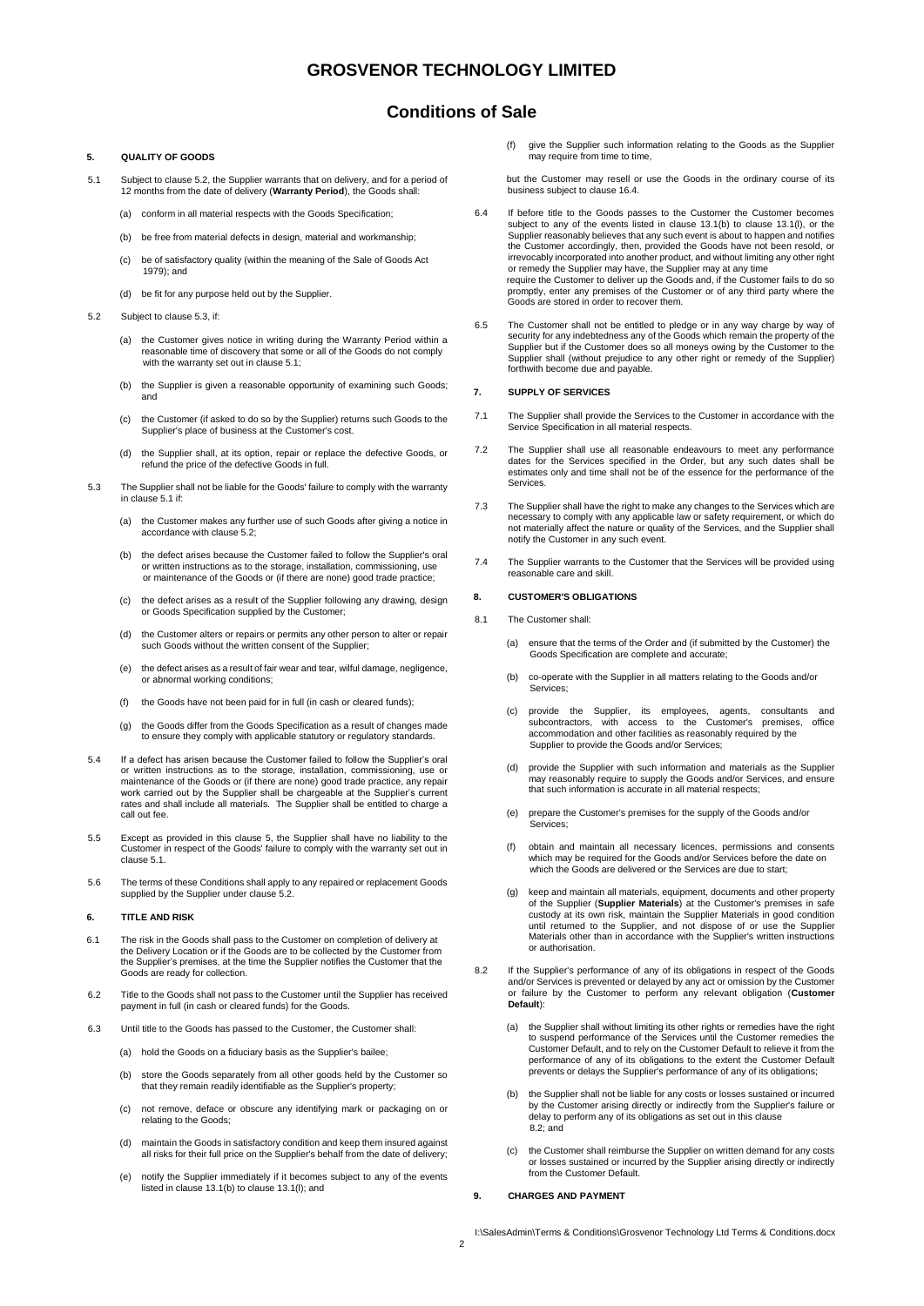## **Conditions of Sale**

# **5. QUALITY OF GOODS**

- 5.1 Subject to clause 5.2, the Supplier warrants that on delivery, and for a period of 12 months from the date of delivery (Warranty Period), the Goods shall
	- (a) conform in all material respects with the Goods Specification;
	- (b) be free from material defects in design, material and workmanship;
	- (c) be of satisfactory quality (within the meaning of the Sale of Goods Act 1979); and
	- (d) be fit for any purpose held out by the Supplier.
- 5.2 Subject to clause 5.3, if:
	- (a) the Customer gives notice in writing during the Warranty Period within a reasonable time of discovery that some or all of the Goods do not comply with the warranty set out in clause 5.1;
	- (b) the Supplier is given a reasonable opportunity of examining such Goods; and
	- (c) the Customer (if asked to do so by the Supplier) returns such Goods to the Supplier's place of business at the Customer's cost.
	- (d) the Supplier shall, at its option, repair or replace the defective Goods, or refund the price of the defective Goods in full.
- 5.3 The Supplier shall not be liable for the Goods' failure to comply with the warranty in clause 5.1 if:
	- (a) the Customer makes any further use of such Goods after giving a notice in accordance with clause 5.2;
	- (b) the defect arises because the Customer failed to follow the Supplier's oral or written instructions as to the storage, installation, commissioning, use or maintenance of the Goods or (if there are none) good trade practice;
	- (c) the defect arises as a result of the Supplier following any drawing, design or Goods Specification supplied by the Customer;
	- (d) the Customer alters or repairs or permits any other person to alter or repair such Goods without the written consent of the Supplier;
	- (e) the defect arises as a result of fair wear and tear, wilful damage, negligence, or abnormal working conditions;
	- (f) the Goods have not been paid for in full (in cash or cleared funds);
	- (g) the Goods differ from the Goods Specification as a result of changes made to ensure they comply with applicable statutory or regulatory standards.
- 5.4 If a defect has arisen because the Customer failed to follow the Supplier's oral or written instructions as to the storage, installation, commissioning, use or maintenance of the Goods or (if there are none) good trade practice, any repair work carried out by the Supplier shall be chargeable at the Supplier's current rates and shall include all materials. The Supplier shall be entitled to charge a call out fee.
- 5.5 Except as provided in this clause 5, the Supplier shall have no liability to the Customer in respect of the Goods' failure to comply with the warranty set out in clause 5.1.
- 5.6 The terms of these Conditions shall apply to any repaired or replacement Goods supplied by the Supplier under clause 5.2.

### **6. TITLE AND RISK**

- 6.1 The risk in the Goods shall pass to the Customer on completion of delivery at the Delivery Location or if the Goods are to be collected by the Customer from the Supplier's premises, at the time the Supplier notifies the Customer that the Goods are ready for collection.
- 6.2 Title to the Goods shall not pass to the Customer until the Supplier has received payment in full (in cash or cleared funds) for the Goods.
- 6.3 Until title to the Goods has passed to the Customer, the Customer shall:
	- (a) hold the Goods on a fiduciary basis as the Supplier's bailee;
	- (b) store the Goods separately from all other goods held by the Customer so that they remain readily identifiable as the Supplier's property;
	- (c) not remove, deface or obscure any identifying mark or packaging on or relating to the Goods;
	- (d) maintain the Goods in satisfactory condition and keep them insured against all risks for their full price on the Supplier's behalf from the date of delivery;
	- (e) notify the Supplier immediately if it becomes subject to any of the events listed in clause 13.1(b) to clause 13.1(l); and

(f) give the Supplier such information relating to the Goods as the Supplier hay require from time to time,

but the Customer may resell or use the Goods in the ordinary course of its business subject to clause 16.4.

- 6.4 If before title to the Goods passes to the Customer the Customer becomes subject to any of the events listed in clause 13.1(b) to clause 13.1(l), or the Supplier reasonably believes that any such event is about to happen and notifies the Customer accordingly, then, provided the Goods have not been resold, or irrevocably incorporated into another product, and without limiting any other right or remedy the Supplier may have, the Supplier may at any time require the Customer to deliver up the Goods and, if the Customer fails to do so promptly, enter any premises of the Customer or of any third party where the Goods are stored in order to recover them.
- 6.5 The Customer shall not be entitled to pledge or in any way charge by way of security for any indebtedness any of the Goods which remain the property of the Supplier but if the Customer does so all moneys owing by the Customer to the Supplier shall (without prejudice to any other right or remedy of the Supplier) forthwith become due and payable.

#### **7. SUPPLY OF SERVICES**

- 7.1 The Supplier shall provide the Services to the Customer in accordance with the Service Specification in all material respects.
- 7.2 The Supplier shall use all reasonable endeavours to meet any performance dates for the Services specified in the Order, but any such dates shall be estimates only and time shall not be of the essence for the performance of the Services.
- 7.3 The Supplier shall have the right to make any changes to the Services which are necessary to comply with any applicable law or safety requirement, or which do not materially affect the nature or quality of the Services, and the Supplier shall notify the Customer in any such event.
- 7.4 The Supplier warrants to the Customer that the Services will be provided using reasonable care and skill.

### **8. CUSTOMER'S OBLIGATIONS**

- 8.1 The Customer shall:
	- (a) ensure that the terms of the Order and (if submitted by the Customer) the Goods Specification are complete and accurate;
	- (b) co-operate with the Supplier in all matters relating to the Goods and/or Services;
	- (c) provide the Supplier, its employees, agents, consultants and subcontractors, with access to the Customer's premises, office accommodation and other facilities as reasonably required by the Supplier to provide the Goods and/or Services;
	- (d) provide the Supplier with such information and materials as the Supplier may reasonably require to supply the Goods and/or Services, and ensure that such information is accurate in all material respects;
	- (e) prepare the Customer's premises for the supply of the Goods and/or Services;
	- (f) obtain and maintain all necessary licences, permissions and consents which may be required for the Goods and/or Services before the date on which the Goods are delivered or the Services are due to start;
	- (g) keep and maintain all materials, equipment, documents and other property of the Supplier (**Supplier Materials**) at the Customer's premises in safe custody at its own risk, maintain the Supplier Materials in good condition until returned to the Supplier, and not dispose of or use the Supplier Materials other than in accordance with the Supplier's written instructions or authorisation.
- 8.2 If the Supplier's performance of any of its obligations in respect of the Goods and/or Services is prevented or delayed by any act or omission by the Customer or failure by the Customer to perform any relevant obligation (**Customer Default**):
	- (a) the Supplier shall without limiting its other rights or remedies have the right to suspend performance of the Services until the Customer remedies the Customer Default, and to rely on the Customer Default to relieve it from the performance of any of its obligations to the extent the Customer Default prevents or delays the Supplier's performance of any of its obligations;
	- (b) the Supplier shall not be liable for any costs or losses sustained or incurred by the Customer arising directly or indirectly from the Supplier's failure or delay to perform any of its obligations as set out in this clause 8.2; and
	- (c) the Customer shall reimburse the Supplier on written demand for any costs or losses sustained or incurred by the Supplier arising directly or indirectly from the Customer Default.

### **9. CHARGES AND PAYMENT**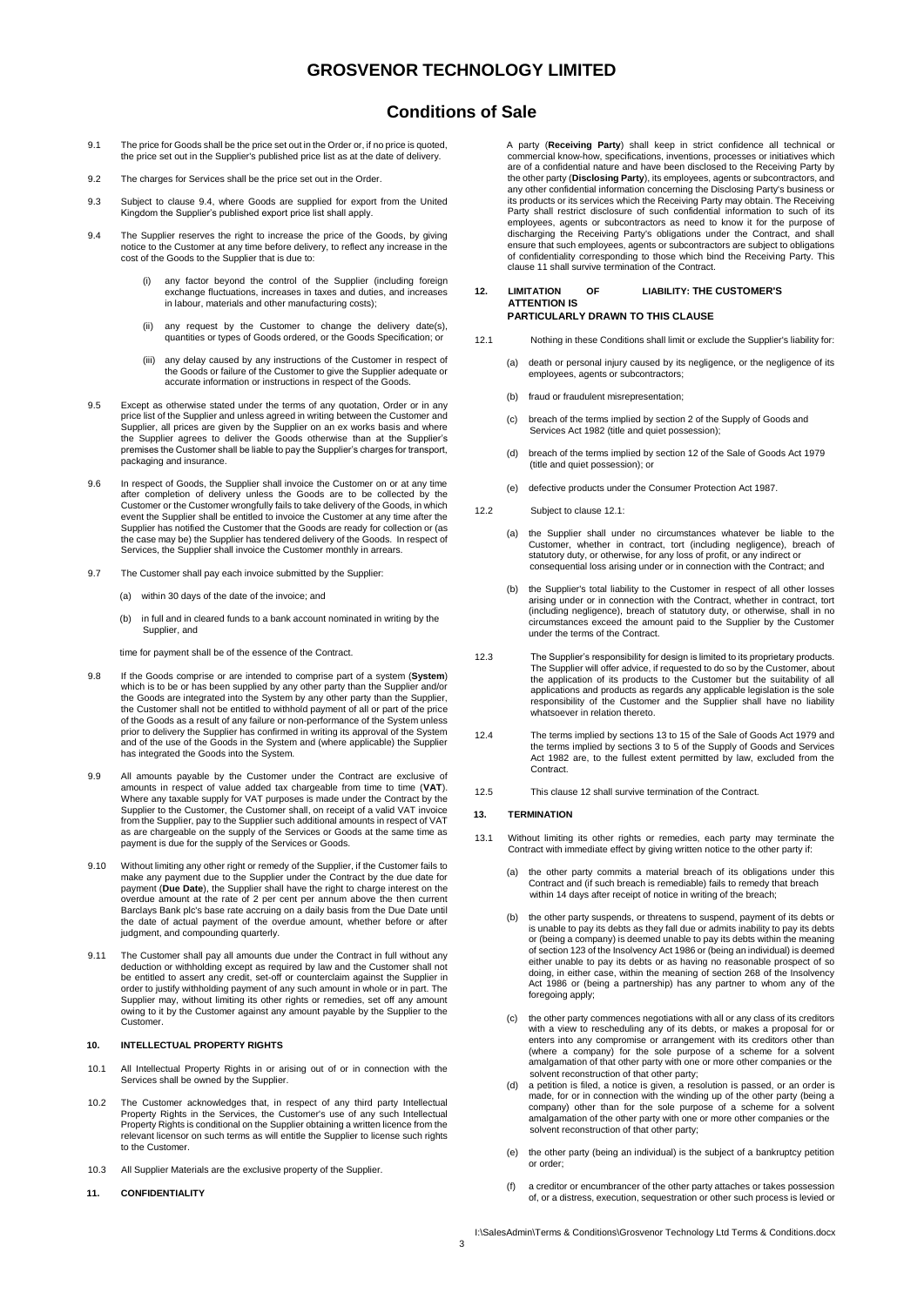## **Conditions of Sale**

- 9.1 The price for Goods shall be the price set out in the Order or, if no price is quoted, the price set out in the Supplier's published price list as at the date of delivery.
- 9.2 The charges for Services shall be the price set out in the Order
- 9.3 Subject to clause 9.4, where Goods are supplied for export from the United Kingdom the Supplier's published export price list shall apply.
- 9.4 The Supplier reserves the right to increase the price of the Goods, by giving notice to the Customer at any time before delivery, to reflect any increase in the cost of the Goods to the Supplier that is due to:
	- (i) any factor beyond the control of the Supplier (including foreign exchange fluctuations, increases in taxes and duties, and increases in labour, materials and other manufacturing costs);
	- any request by the Customer to change the delivery date(s), quantities or types of Goods ordered, or the Goods Specification; or
	- (iii) any delay caused by any instructions of the Customer in respect of the Goods or failure of the Customer to give the Supplier adequate or accurate information or instructions in respect of the Goods.
- 9.5 Except as otherwise stated under the terms of any quotation, Order or in any price list of the Supplier and unless agreed in writing between the Customer and Supplier, all prices are given by the Supplier on an ex works basis and where the Supplier agrees to deliver the Goods otherwise than at the Supplier's premises the Customer shall be liable to pay the Supplier's charges for transport, packaging and insurance.
- 9.6 In respect of Goods, the Supplier shall invoice the Customer on or at any time after completion of delivery unless the Goods are to be collected by the Customer or the Customer wrongfully fails to take delivery of the Goods, in which event the Supplier shall be entitled to invoice the Customer at any time after the Supplier has notified the Customer that the Goods are ready for collection or (as the case may be) the Supplier has tendered delivery of the Goods. In respect of Services, the Supplier shall invoice the Customer monthly in arrears.
- 9.7 The Customer shall pay each invoice submitted by the Supplier:
	- (a) within 30 days of the date of the invoice; and
	- (b) in full and in cleared funds to a bank account nominated in writing by the Supplier, and

time for payment shall be of the essence of the Contract.

- 9.8 If the Goods comprise or are intended to comprise part of a system (**System**) which is to be or has been supplied by any other party than the Supplier and/or the Goods are integrated into the System by any other party than the Supplier, the Customer shall not be entitled to withhold payment of all or part of the price of the Goods as a result of any failure or non-performance of the System unless prior to delivery the Supplier has confirmed in writing its approval of the System and of the use of the Goods in the System and (where applicable) the Supplier has integrated the Goods into the System.
- 9.9 All amounts payable by the Customer under the Contract are exclusive of amounts in respect of value added tax chargeable from time to time (**VAT**). Where any taxable supply for VAT purposes is made under the Contract by the Supplier to the Customer, the Customer shall, on receipt of a valid VAT invoice from the Supplier, pay to the Supplier such additional amounts in respect of VAT as are chargeable on the supply of the Services or Goods at the same time as payment is due for the supply of the Services or Goods.
- 9.10 Without limiting any other right or remedy of the Supplier, if the Customer fails to make any payment due to the Supplier under the Contract by the due date for payment (**Due Date**), the Supplier shall have the right to charge interest on the overdue amount at the rate of 2 per cent per annum above the then current Barclays Bank plc's base rate accruing on a daily basis from the Due Date until the date of actual payment of the overdue amount, whether before or after judgment, and compounding quarterly.
- 9.11 The Customer shall pay all amounts due under the Contract in full without any deduction or withholding except as required by law and the Customer shall not be entitled to assert any credit, set-off or counterclaim against the Supplier in order to justify withholding payment of any such amount in whole or in part. The Supplier may, without limiting its other rights or remedies, set off any amount owing to it by the Customer against any amount payable by the Supplier to the Customer.

## **10. INTELLECTUAL PROPERTY RIGHTS**

- 10.1 All Intellectual Property Rights in or arising out of or in connection with the Services shall be owned by the Supplier.
- 10.2 The Customer acknowledges that, in respect of any third party Intellectual Property Rights in the Services, the Customer's use of any such Intellectual Property Rights is conditional on the Supplier obtaining a written licence from the relevant licensor on such terms as will entitle the Supplier to license such rights to the Customer.
- 10.3 All Supplier Materials are the exclusive property of the Supplier.
- **11. CONFIDENTIALITY**

A party (**Receiving Party**) shall keep in strict confidence all technical or commercial know-how, specifications, inventions, processes or initiatives which are of a confidential nature and have been disclosed to the Receiving Party by the other party (**Disclosing Party**), its employees, agents or subcontractors, and any other confidential information concerning the Disclosing Party's business or its products or its services which the Receiving Party may obtain. The Receiving Party shall restrict disclosure of such confidential information to such of its employees, agents or subcontractors as need to know it for the purpose of discharging the Receiving Party's obligations under the Contract, and shall ensure that such employees, agents or subcontractors are subject to obligations of confidentiality corresponding to those which bind the Receiving Party. This clause 11 shall survive termination of the Contract.

#### **12. LIMITATION OF LIABILITY: THE CUSTOMER'S ATTENTION IS PARTICULARLY DRAWN TO THIS CLAUSE**

- 12.1 Nothing in these Conditions shall limit or exclude the Supplier's liability for:
	- (a) death or personal injury caused by its negligence, or the negligence of its employees, agents or subcontractors;
	- (b) fraud or fraudulent misrepresentation;
	- (c) breach of the terms implied by section 2 of the Supply of Goods and Services Act 1982 (title and quiet possession);
	- (d) breach of the terms implied by section 12 of the Sale of Goods Act 1979 (title and quiet possession); or
	- (e) defective products under the Consumer Protection Act 1987.

12.2 Subject to clause 12.1:

- (a) the Supplier shall under no circumstances whatever be liable to the Customer, whether in contract, tort (including negligence), breach of statutory duty, or otherwise, for any loss of profit, or any indirect or consequential loss arising under or in connection with the Contract; and
- (b) the Supplier's total liability to the Customer in respect of all other losses arising under or in connection with the Contract, whether in contract, tort (including negligence), breach of statutory duty, or otherwise, shall in no circumstances exceed the amount paid to the Supplier by the Customer under the terms of the Contract.
- 12.3 The Supplier's responsibility for design is limited to its proprietary products. The Supplier will offer advice, if requested to do so by the Customer, about the application of its products to the Customer but the suitability of all applications and products as regards any applicable legislation is the sole responsibility of the Customer and the Supplier shall have no liability whatsoever in relation thereto.
- 12.4 The terms implied by sections 13 to 15 of the Sale of Goods Act 1979 and the terms implied by sections 3 to 5 of the Supply of Goods and Services Act 1982 are, to the fullest extent permitted by law, excluded from the **Contract**
- 12.5 This clause 12 shall survive termination of the Contract.

### **13. TERMINATION**

- 13.1 Without limiting its other rights or remedies, each party may terminate the Contract with immediate effect by giving written notice to the other party if:
	- (a) the other party commits a material breach of its obligations under this Contract and (if such breach is remediable) fails to remedy that breach within 14 days after receipt of notice in writing of the breach;
	- (b) the other party suspends, or threatens to suspend, payment of its debts or is unable to pay its debts as they fall due or admits inability to pay its debts or (being a company) is deemed unable to pay its debts within the meaning of section 123 of the Insolvency Act 1986 or (being an individual) is deemed either unable to pay its debts or as having no reasonable prospect of so doing, in either case, within the meaning of section 268 of the Insolvency Act 1986 or (being a partnership) has any partner to whom any of the foregoing apply;
	- (c) the other party commences negotiations with all or any class of its creditors with a view to rescheduling any of its debts, or makes a proposal for or enters into any compromise or arrangement with its creditors other than (where a company) for the sole purpose of a scheme for a solvent amalgamation of that other party with one or more other companies or the solvent reconstruction of that other party;
	- (d) a petition is filed, a notice is given, a resolution is passed, or an order is made, for or in connection with the winding up of the other party (being a company) other than for the sole purpose of a scheme for a solvent amalgamation of the other party with one or more other companies or the solvent reconstruction of that other party;
	- (e) the other party (being an individual) is the subject of a bankruptcy petition or order;
	- (f) a creditor or encumbrancer of the other party attaches or takes possession of, or a distress, execution, sequestration or other such process is levied or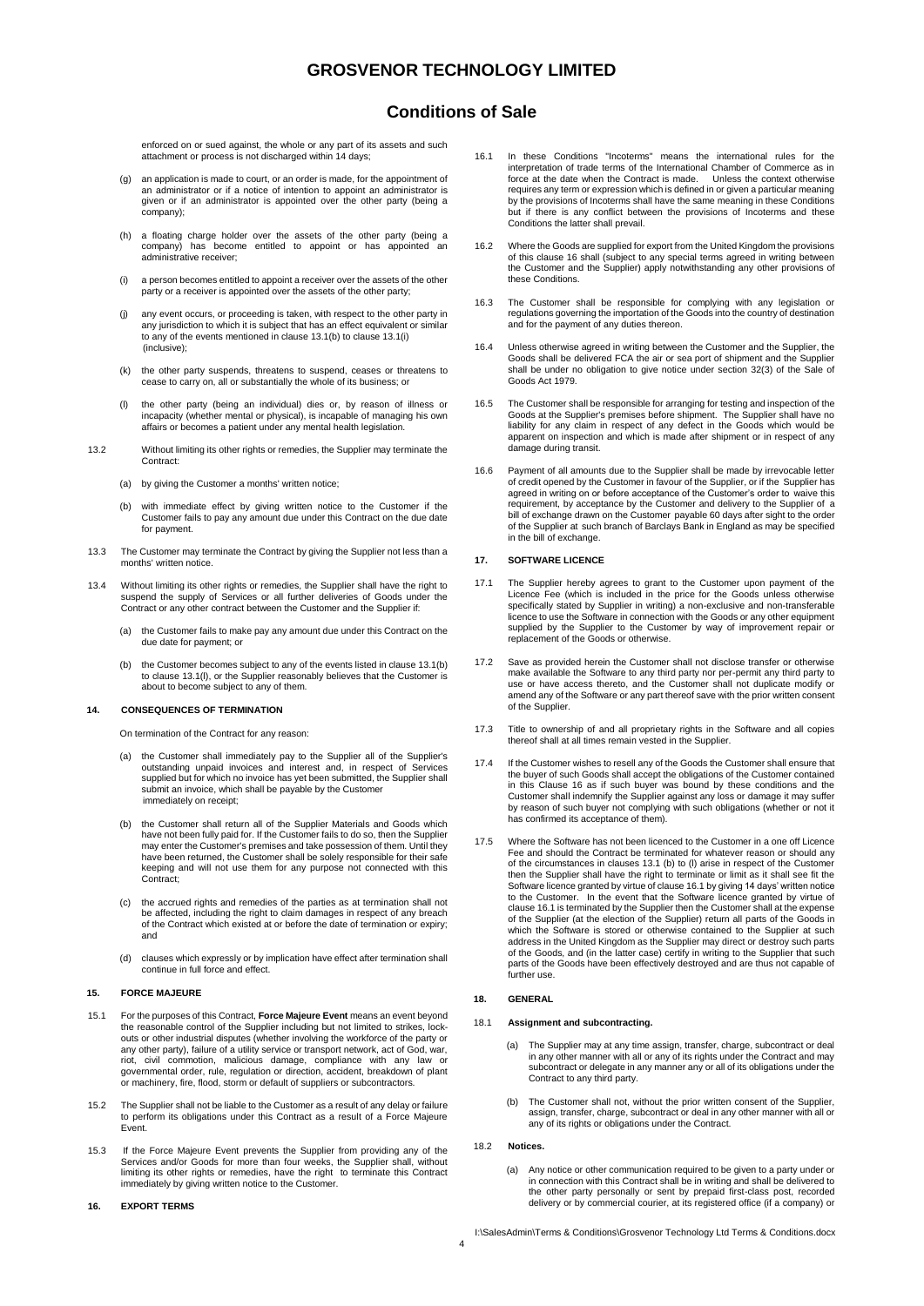## **Conditions of Sale**

enforced on or sued against, the whole or any part of its assets and such attachment or process is not discharged within 14 days;

- (g) an application is made to court, or an order is made, for the appointment of an administrator or if a notice of intention to appoint an administrator is given or if an administrator is appointed over the other party (being a company);
- (h) a floating charge holder over the assets of the other party (being a company) has become entitled to appoint or has appointed an administrative receiver;
- (i) a person becomes entitled to appoint a receiver over the assets of the other party or a receiver is appointed over the assets of the other party;
- (j) any event occurs, or proceeding is taken, with respect to the other party in any jurisdiction to which it is subject that has an effect equivalent or similar to any of the events mentioned in clause 13.1(b) to clause 13.1(i) (inclusive);
- (k) the other party suspends, threatens to suspend, ceases or threatens to cease to carry on, all or substantially the whole of its business; or
- (l) the other party (being an individual) dies or, by reason of illness or incapacity (whether mental or physical), is incapable of managing his own affairs or becomes a patient under any mental health legislation.
- 13.2 Without limiting its other rights or remedies, the Supplier may terminate the Contract:
	- (a) by giving the Customer a months' written notice;
	- (b) with immediate effect by giving written notice to the Customer if the Customer fails to pay any amount due under this Contract on the due date for payment.
- 13.3 The Customer may terminate the Contract by giving the Supplier not less than a months' written notice.
- 13.4 Without limiting its other rights or remedies, the Supplier shall have the right to suspend the supply of Services or all further deliveries of Goods under the Contract or any other contract between the Customer and the Supplier if:
	- (a) the Customer fails to make pay any amount due under this Contract on the due date for payment; or
	- (b) the Customer becomes subject to any of the events listed in clause 13.1(b) to clause 13.1(l), or the Supplier reasonably believes that the Customer is about to become subject to any of them.

### **14. CONSEQUENCES OF TERMINATION**

- On termination of the Contract for any reason:
- the Customer shall immediately pay to the Supplier all of the Supplier's outstanding unpaid invoices and interest and, in respect of Services supplied but for which no invoice has yet been submitted, the Supplier shall submit an invoice, which shall be payable by the Customer immediately on receipt;
- (b) the Customer shall return all of the Supplier Materials and Goods which have not been fully paid for. If the Customer fails to do so, then the Supplier may enter the Customer's premises and take possession of them. Until they have been returned, the Customer shall be solely responsible for their safe keeping and will not use them for any purpose not connected with this Contract;
- (c) the accrued rights and remedies of the parties as at termination shall not be affected, including the right to claim damages in respect of any breach of the Contract which existed at or before the date of termination or expiry; and
- (d) clauses which expressly or by implication have effect after termination shall continue in full force and effect.

## **15. FORCE MAJEURE**

- 15.1 For the purposes of this Contract, **Force Majeure Event** means an event beyond the reasonable control of the Supplier including but not limited to strikes, lockouts or other industrial disputes (whether involving the workforce of the party or any other party), failure of a utility service or transport network, act of God, war, riot, civil commotion, malicious damage, compliance with any law or governmental order, rule, regulation or direction, accident, breakdown of plant or machinery, fire, flood, storm or default of suppliers or subcontractors.
- 15.2 The Supplier shall not be liable to the Customer as a result of any delay or failure to perform its obligations under this Contract as a result of a Force Majeure Event.
- 15.3 If the Force Majeure Event prevents the Supplier from providing any of the Services and/or Goods for more than four weeks, the Supplier shall, without limiting its other rights or remedies, have the right to terminate this Contract immediately by giving written notice to the Customer.

### **16. EXPORT TERMS**

- 16.1 In these Conditions "Incoterms" means the international rules for the interpretation of trade terms of the International Chamber of Commerce as in force at the date when the Contract is made. Unless the context otherw requires any term or expression which is defined in or given a particular meaning by the provisions of Incoterms shall have the same meaning in these Conditions but if there is any conflict between the provisions of Incoterms and these Conditions the latter shall prevail.
- 16.2 Where the Goods are supplied for export from the United Kingdom the provisions of this clause 16 shall (subject to any special terms agreed in writing between the Customer and the Supplier) apply notwithstanding any other provisions of these Conditions.
- 16.3 The Customer shall be responsible for complying with any legislation or regulations governing the importation of the Goods into the country of destination and for the payment of any duties thereon.
- 16.4 Unless otherwise agreed in writing between the Customer and the Supplier, the Goods shall be delivered FCA the air or sea port of shipment and the Supplier shall be under no obligation to give notice under section 32(3) of the Sale of Goods Act 1979.
- 16.5 The Customer shall be responsible for arranging for testing and inspection of the Goods at the Supplier's premises before shipment. The Supplier shall have no liability for any claim in respect of any defect in the Goods which would be apparent on inspection and which is made after shipment or in respect of any damage during transit.
- 16.6 Payment of all amounts due to the Supplier shall be made by irrevocable letter of credit opened by the Customer in favour of the Supplier, or if the Supplier has agreed in writing on or before acceptance of the Customer's order to waive this requirement, by acceptance by the Customer and delivery to the Supplier of a bill of exchange drawn on the Customer payable 60 days after sight to the order of the Supplier at such branch of Barclays Bank in England as may be specified in the bill of exchange.

### **17. SOFTWARE LICENCE**

- 17.1 The Supplier hereby agrees to grant to the Customer upon payment of the Licence Fee (which is included in the price for the Goods unless otherwise specifically stated by Supplier in writing) a non-exclusive and non-transferable licence to use the Software in connection with the Goods or any other equipment supplied by the Supplier to the Customer by way of improvement repair or replacement of the Goods or otherwise.
- 17.2 Save as provided herein the Customer shall not disclose transfer or otherwise make available the Software to any third party nor per-permit any third party to use or have access thereto, and the Customer shall not duplicate modify or amend any of the Software or any part thereof save with the prior written consent of the Supplier.
- 17.3 Title to ownership of and all proprietary rights in the Software and all copies thereof shall at all times remain vested in the Supplier.
- 17.4 If the Customer wishes to resell any of the Goods the Customer shall ensure that the buyer of such Goods shall accept the obligations of the Customer contained in this Clause 16 as if such buyer was bound by these conditions and the Customer shall indemnify the Supplier against any loss or damage it may suffer by reason of such buyer not complying with such obligations (whether or not it has confirmed its acceptance of them).
- 17.5 Where the Software has not been licenced to the Customer in a one off Licence Fee and should the Contract be terminated for whatever reason or should any of the circumstances in clauses 13.1 (b) to (l) arise in respect of the Customer then the Supplier shall have the right to terminate or limit as it shall see fit the Software licence granted by virtue of clause 16.1 by giving 14 days' written notice to the Customer. In the event that the Software licence granted by virtue of clause 16.1 is terminated by the Supplier then the Customer shall at the expense of the Supplier (at the election of the Supplier) return all parts of the Goods in which the Software is stored or otherwise contained to the Supplier at such address in the United Kingdom as the Supplier may direct or destroy such parts of the Goods, and (in the latter case) certify in writing to the Supplier that such parts of the Goods have been effectively destroyed and are thus not capable of further use.

### **18. GENERAL**

#### 18.1 **Assignment and subcontracting.**

- (a) The Supplier may at any time assign, transfer, charge, subcontract or deal in any other manner with all or any of its rights under the Contract and may subcontract or delegate in any manner any or all of its obligations under the Contract to any third party.
- (b) The Customer shall not, without the prior written consent of the Supplier, assign, transfer, charge, subcontract or deal in any other manner with all or any of its rights or obligations under the Contract.

#### 18.2 **Notices.**

(a) Any notice or other communication required to be given to a party under or in connection with this Contract shall be in writing and shall be delivered to the other party personally or sent by prepaid first-class post, recorded delivery or by commercial courier, at its registered office (if a company) or